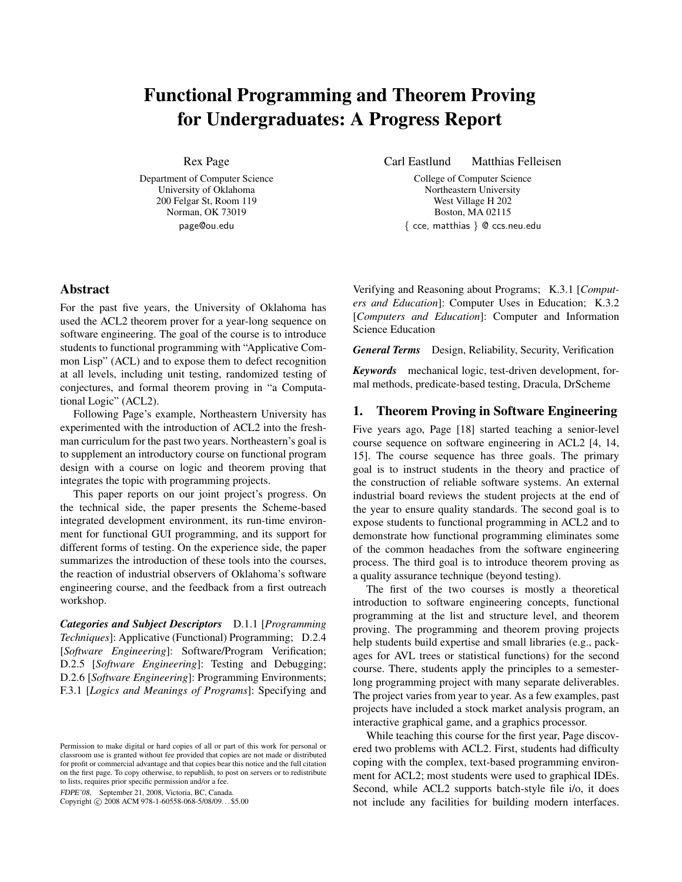# Functional Programming and Theorem Proving for Undergraduates: A Progress Report

Rex Page

Department of Computer Science University of Oklahoma 200 Felgar St, Room 119 Norman, OK 73019 page@ou.edu

Carl Eastlund Matthias Felleisen

College of Computer Science Northeastern University West Village H 202 Boston, MA 02115 { cce, matthias } @ ccs.neu.edu

# Abstract

For the past five years, the University of Oklahoma has used the ACL2 theorem prover for a year-long sequence on software engineering. The goal of the course is to introduce students to functional programming with "Applicative Common Lisp" (ACL) and to expose them to defect recognition at all levels, including unit testing, randomized testing of conjectures, and formal theorem proving in "a Computational Logic" (ACL2).

Following Page's example, Northeastern University has experimented with the introduction of ACL2 into the freshman curriculum for the past two years. Northeastern's goal is to supplement an introductory course on functional program design with a course on logic and theorem proving that integrates the topic with programming projects.

This paper reports on our joint project's progress. On the technical side, the paper presents the Scheme-based integrated development environment, its run-time environment for functional GUI programming, and its support for different forms of testing. On the experience side, the paper summarizes the introduction of these tools into the courses, the reaction of industrial observers of Oklahoma's software engineering course, and the feedback from a first outreach workshop.

*Categories and Subject Descriptors* D.1.1 [*Programming Techniques*]: Applicative (Functional) Programming; D.2.4 [*Software Engineering*]: Software/Program Verification; D.2.5 [*Software Engineering*]: Testing and Debugging; D.2.6 [*Software Engineering*]: Programming Environments; F.3.1 [*Logics and Meanings of Programs*]: Specifying and

FDPE'08, September 21, 2008, Victoria, BC, Canada.

Copyright © 2008 ACM 978-1-60558-068-5/08/09... \$5.00

Verifying and Reasoning about Programs; K.3.1 [*Computers and Education*]: Computer Uses in Education; K.3.2 [*Computers and Education*]: Computer and Information Science Education

*General Terms* Design, Reliability, Security, Verification

*Keywords* mechanical logic, test-driven development, formal methods, predicate-based testing, Dracula, DrScheme

## 1. Theorem Proving in Software Engineering

Five years ago, Page [18] started teaching a senior-level course sequence on software engineering in ACL2 [4, 14, 15]. The course sequence has three goals. The primary goal is to instruct students in the theory and practice of the construction of reliable software systems. An external industrial board reviews the student projects at the end of the year to ensure quality standards. The second goal is to expose students to functional programming in ACL2 and to demonstrate how functional programming eliminates some of the common headaches from the software engineering process. The third goal is to introduce theorem proving as a quality assurance technique (beyond testing).

The first of the two courses is mostly a theoretical introduction to software engineering concepts, functional programming at the list and structure level, and theorem proving. The programming and theorem proving projects help students build expertise and small libraries (e.g., packages for AVL trees or statistical functions) for the second course. There, students apply the principles to a semesterlong programming project with many separate deliverables. The project varies from year to year. As a few examples, past projects have included a stock market analysis program, an interactive graphical game, and a graphics processor.

While teaching this course for the first year, Page discovered two problems with ACL2. First, students had difficulty coping with the complex, text-based programming environment for ACL2; most students were used to graphical IDEs. Second, while ACL2 supports batch-style file i/o, it does not include any facilities for building modern interfaces.

Permission to make digital or hard copies of all or part of this work for personal or classroom use is granted without fee provided that copies are not made or distributed for profit or commercial advantage and that copies bear this notice and the full citation on the first page. To copy otherwise, to republish, to post on servers or to redistribute to lists, requires prior specific permission and/or a fee.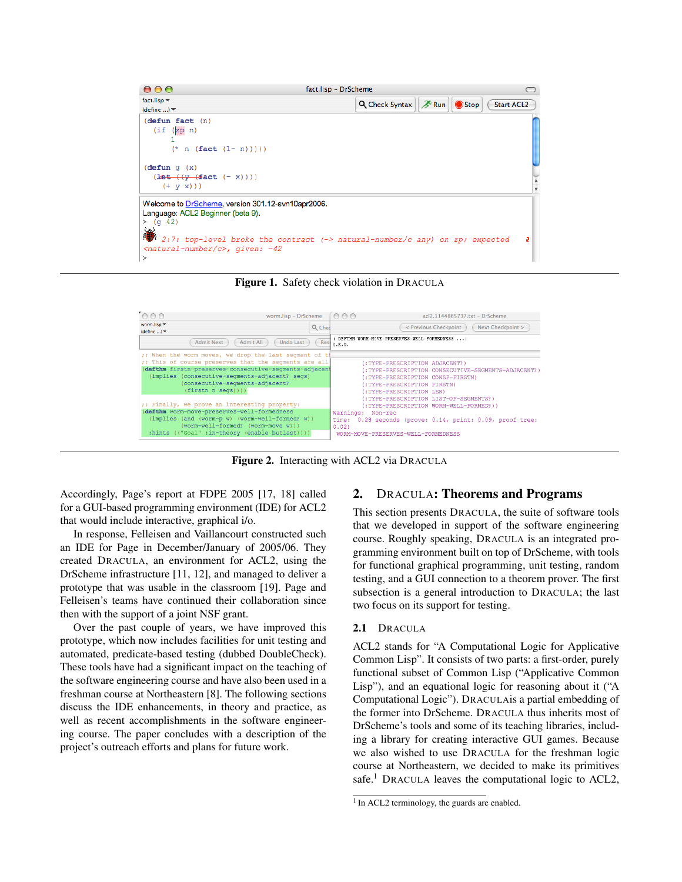

Figure 1. Safety check violation in DRACULA



Figure 2. Interacting with ACL2 via DRACULA

Accordingly, Page's report at FDPE 2005 [17, 18] called for a GUI-based programming environment (IDE) for ACL2 that would include interactive, graphical i/o.

In response, Felleisen and Vaillancourt constructed such an IDE for Page in December/January of 2005/06. They created DRACULA, an environment for ACL2, using the DrScheme infrastructure [11, 12], and managed to deliver a prototype that was usable in the classroom [19]. Page and Felleisen's teams have continued their collaboration since then with the support of a joint NSF grant.

Over the past couple of years, we have improved this prototype, which now includes facilities for unit testing and automated, predicate-based testing (dubbed DoubleCheck). These tools have had a significant impact on the teaching of the software engineering course and have also been used in a freshman course at Northeastern [8]. The following sections discuss the IDE enhancements, in theory and practice, as well as recent accomplishments in the software engineering course. The paper concludes with a description of the project's outreach efforts and plans for future work.

### 2. DRACULA: Theorems and Programs

This section presents DRACULA, the suite of software tools that we developed in support of the software engineering course. Roughly speaking, DRACULA is an integrated programming environment built on top of DrScheme, with tools for functional graphical programming, unit testing, random testing, and a GUI connection to a theorem prover. The first subsection is a general introduction to DRACULA; the last two focus on its support for testing.

#### 2.1 DRACULA

ACL2 stands for "A Computational Logic for Applicative Common Lisp". It consists of two parts: a first-order, purely functional subset of Common Lisp ("Applicative Common Lisp"), and an equational logic for reasoning about it ("A Computational Logic"). DRACULAis a partial embedding of the former into DrScheme. DRACULA thus inherits most of DrScheme's tools and some of its teaching libraries, including a library for creating interactive GUI games. Because we also wished to use DRACULA for the freshman logic course at Northeastern, we decided to make its primitives safe.<sup>1</sup> DRACULA leaves the computational logic to ACL2,

<sup>&</sup>lt;sup>1</sup> In ACL2 terminology, the guards are enabled.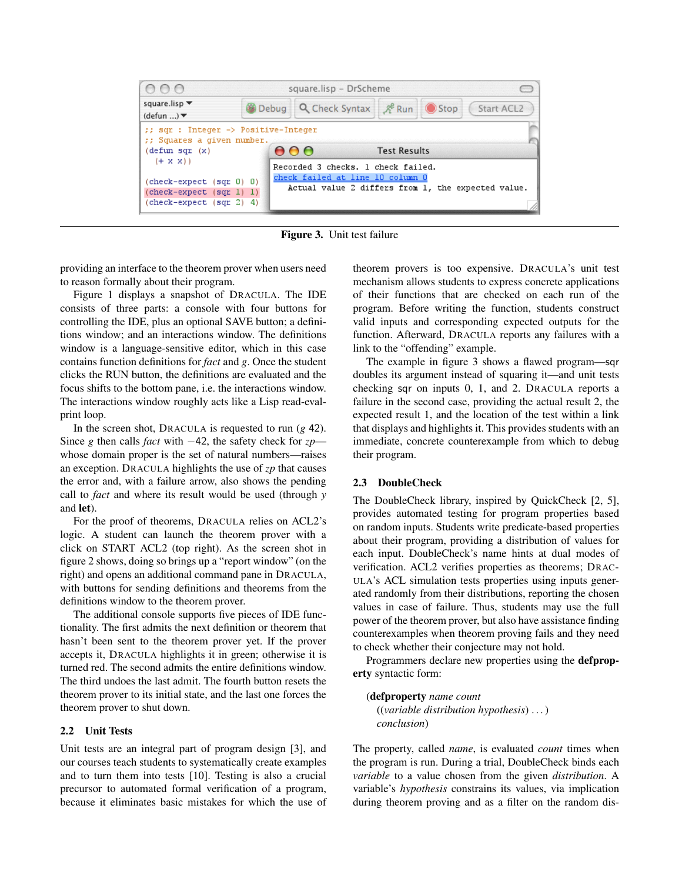

Figure 3. Unit test failure

providing an interface to the theorem prover when users need to reason formally about their program.

Figure 1 displays a snapshot of DRACULA. The IDE consists of three parts: a console with four buttons for controlling the IDE, plus an optional SAVE button; a definitions window; and an interactions window. The definitions window is a language-sensitive editor, which in this case contains function definitions for *fact* and *g*. Once the student clicks the RUN button, the definitions are evaluated and the focus shifts to the bottom pane, i.e. the interactions window. The interactions window roughly acts like a Lisp read-evalprint loop.

In the screen shot, DRACULA is requested to run (*g* 42). Since *g* then calls *fact* with −42, the safety check for *zp* whose domain proper is the set of natural numbers—raises an exception. DRACULA highlights the use of *zp* that causes the error and, with a failure arrow, also shows the pending call to *fact* and where its result would be used (through *y* and let).

For the proof of theorems, DRACULA relies on ACL2's logic. A student can launch the theorem prover with a click on START ACL2 (top right). As the screen shot in figure 2 shows, doing so brings up a "report window" (on the right) and opens an additional command pane in DRACULA, with buttons for sending definitions and theorems from the definitions window to the theorem prover.

The additional console supports five pieces of IDE functionality. The first admits the next definition or theorem that hasn't been sent to the theorem prover yet. If the prover accepts it, DRACULA highlights it in green; otherwise it is turned red. The second admits the entire definitions window. The third undoes the last admit. The fourth button resets the theorem prover to its initial state, and the last one forces the theorem prover to shut down.

#### 2.2 Unit Tests

Unit tests are an integral part of program design [3], and our courses teach students to systematically create examples and to turn them into tests [10]. Testing is also a crucial precursor to automated formal verification of a program, because it eliminates basic mistakes for which the use of theorem provers is too expensive. DRACULA's unit test mechanism allows students to express concrete applications of their functions that are checked on each run of the program. Before writing the function, students construct valid inputs and corresponding expected outputs for the function. Afterward, DRACULA reports any failures with a link to the "offending" example.

The example in figure 3 shows a flawed program—sqr doubles its argument instead of squaring it—and unit tests checking sqr on inputs 0, 1, and 2. DRACULA reports a failure in the second case, providing the actual result 2, the expected result 1, and the location of the test within a link that displays and highlights it. This provides students with an immediate, concrete counterexample from which to debug their program.

#### 2.3 DoubleCheck

The DoubleCheck library, inspired by QuickCheck [2, 5], provides automated testing for program properties based on random inputs. Students write predicate-based properties about their program, providing a distribution of values for each input. DoubleCheck's name hints at dual modes of verification. ACL2 verifies properties as theorems; DRAC-ULA's ACL simulation tests properties using inputs generated randomly from their distributions, reporting the chosen values in case of failure. Thus, students may use the full power of the theorem prover, but also have assistance finding counterexamples when theorem proving fails and they need to check whether their conjecture may not hold.

Programmers declare new properties using the defproperty syntactic form:

(defproperty *name count* ((*variable distribution hypothesis*) . . . ) *conclusion*)

The property, called *name*, is evaluated *count* times when the program is run. During a trial, DoubleCheck binds each *variable* to a value chosen from the given *distribution*. A variable's *hypothesis* constrains its values, via implication during theorem proving and as a filter on the random dis-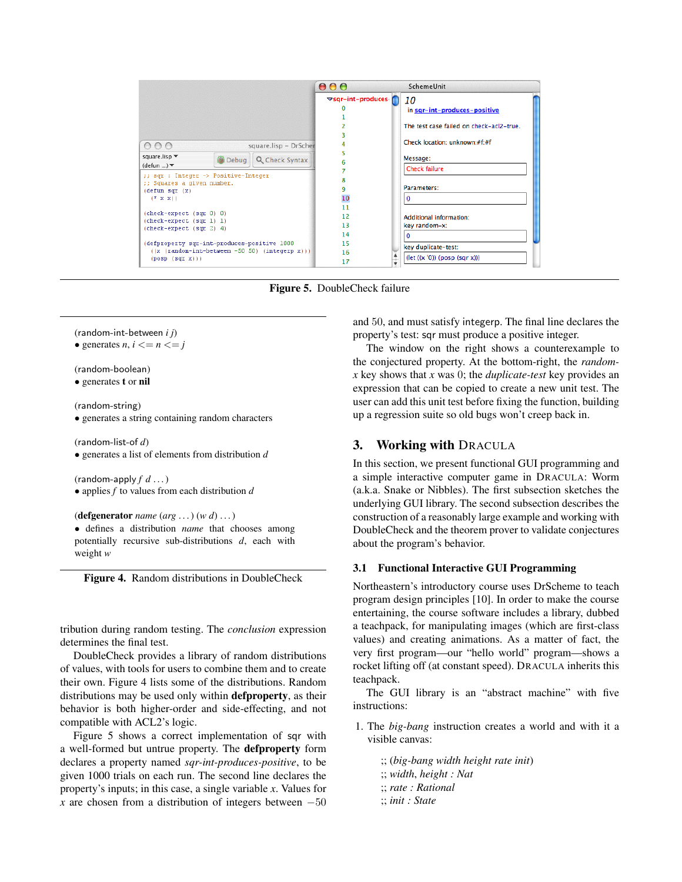

Figure 5. DoubleCheck failure

(random-int-between *i j*)

• generates *n*,  $i \le n \le j$ 

(random-boolean) • generates t or nil

(random-string)

• generates a string containing random characters

(random-list-of *d*) • generates a list of elements from distribution *d*

(random-apply  $f d ...$ )

• applies *f* to values from each distribution *d*

```
(defgenerator name (arg . . . ) (w d) . . . )
```
• defines a distribution *name* that chooses among potentially recursive sub-distributions *d*, each with weight *w*

Figure 4. Random distributions in DoubleCheck

tribution during random testing. The *conclusion* expression determines the final test.

DoubleCheck provides a library of random distributions of values, with tools for users to combine them and to create their own. Figure 4 lists some of the distributions. Random distributions may be used only within defproperty, as their behavior is both higher-order and side-effecting, and not compatible with ACL2's logic.

Figure 5 shows a correct implementation of sqr with a well-formed but untrue property. The defproperty form declares a property named *sqr-int-produces-positive*, to be given 1000 trials on each run. The second line declares the property's inputs; in this case, a single variable *x*. Values for *x* are chosen from a distribution of integers between  $-50$ 

and 50, and must satisfy integerp. The final line declares the property's test: sqr must produce a positive integer.

The window on the right shows a counterexample to the conjectured property. At the bottom-right, the *randomx* key shows that *x* was 0; the *duplicate-test* key provides an expression that can be copied to create a new unit test. The user can add this unit test before fixing the function, building up a regression suite so old bugs won't creep back in.

# 3. Working with DRACULA

In this section, we present functional GUI programming and a simple interactive computer game in DRACULA: Worm (a.k.a. Snake or Nibbles). The first subsection sketches the underlying GUI library. The second subsection describes the construction of a reasonably large example and working with DoubleCheck and the theorem prover to validate conjectures about the program's behavior.

#### 3.1 Functional Interactive GUI Programming

Northeastern's introductory course uses DrScheme to teach program design principles [10]. In order to make the course entertaining, the course software includes a library, dubbed a teachpack, for manipulating images (which are first-class values) and creating animations. As a matter of fact, the very first program—our "hello world" program—shows a rocket lifting off (at constant speed). DRACULA inherits this teachpack.

The GUI library is an "abstract machine" with five instructions:

1. The *big-bang* instruction creates a world and with it a visible canvas:

;; (*big-bang width height rate init*) ;; *width*, *height : Nat* ;; *rate : Rational* ;; *init : State*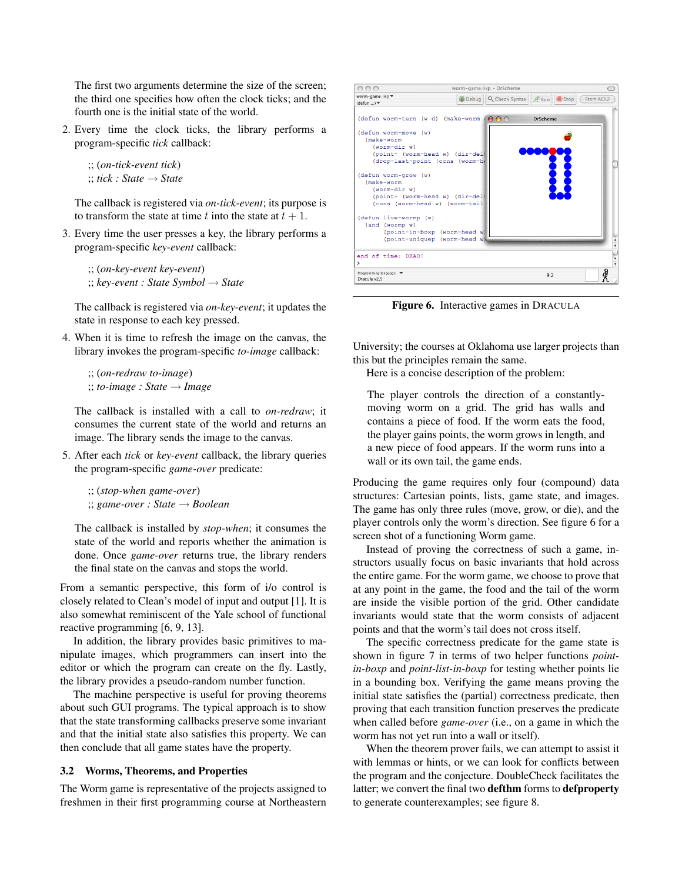The first two arguments determine the size of the screen; the third one specifies how often the clock ticks; and the fourth one is the initial state of the world.

2. Every time the clock ticks, the library performs a program-specific *tick* callback:

;; (*on-tick-event tick*) ;; *tick : State* → *State*

The callback is registered via *on-tick-event*; its purpose is to transform the state at time t into the state at  $t + 1$ .

3. Every time the user presses a key, the library performs a program-specific *key-event* callback:

;; (*on-key-event key-event*) ;; *key-event : State Symbol* → *State*

The callback is registered via *on-key-event*; it updates the state in response to each key pressed.

4. When it is time to refresh the image on the canvas, the library invokes the program-specific *to-image* callback:

;; (*on-redraw to-image*) ;; *to-image : State* → *Image*

The callback is installed with a call to *on-redraw*; it consumes the current state of the world and returns an image. The library sends the image to the canvas.

5. After each *tick* or *key-event* callback, the library queries the program-specific *game-over* predicate:

;; (*stop-when game-over*) ;; *game-over : State* → *Boolean*

The callback is installed by *stop-when*; it consumes the state of the world and reports whether the animation is done. Once *game-over* returns true, the library renders the final state on the canvas and stops the world.

From a semantic perspective, this form of i/o control is closely related to Clean's model of input and output [1]. It is also somewhat reminiscent of the Yale school of functional reactive programming [6, 9, 13].

In addition, the library provides basic primitives to manipulate images, which programmers can insert into the editor or which the program can create on the fly. Lastly, the library provides a pseudo-random number function.

The machine perspective is useful for proving theorems about such GUI programs. The typical approach is to show that the state transforming callbacks preserve some invariant and that the initial state also satisfies this property. We can then conclude that all game states have the property.

#### 3.2 Worms, Theorems, and Properties

The Worm game is representative of the projects assigned to freshmen in their first programming course at Northeastern



Figure 6. Interactive games in DRACULA

University; the courses at Oklahoma use larger projects than this but the principles remain the same.

Here is a concise description of the problem:

The player controls the direction of a constantlymoving worm on a grid. The grid has walls and contains a piece of food. If the worm eats the food, the player gains points, the worm grows in length, and a new piece of food appears. If the worm runs into a wall or its own tail, the game ends.

Producing the game requires only four (compound) data structures: Cartesian points, lists, game state, and images. The game has only three rules (move, grow, or die), and the player controls only the worm's direction. See figure 6 for a screen shot of a functioning Worm game.

Instead of proving the correctness of such a game, instructors usually focus on basic invariants that hold across the entire game. For the worm game, we choose to prove that at any point in the game, the food and the tail of the worm are inside the visible portion of the grid. Other candidate invariants would state that the worm consists of adjacent points and that the worm's tail does not cross itself.

The specific correctness predicate for the game state is shown in figure 7 in terms of two helper functions *pointin-boxp* and *point-list-in-boxp* for testing whether points lie in a bounding box. Verifying the game means proving the initial state satisfies the (partial) correctness predicate, then proving that each transition function preserves the predicate when called before *game-over* (i.e., on a game in which the worm has not yet run into a wall or itself).

When the theorem prover fails, we can attempt to assist it with lemmas or hints, or we can look for conflicts between the program and the conjecture. DoubleCheck facilitates the latter; we convert the final two defthm forms to defproperty to generate counterexamples; see figure 8.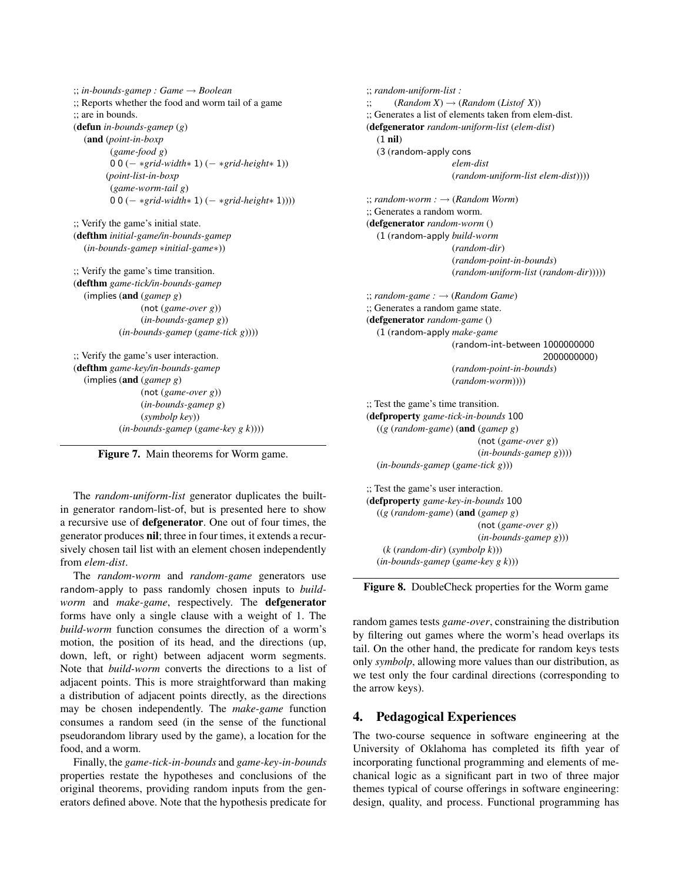```
;; in-bounds-gamep : Game → Boolean
;; Reports whether the food and worm tail of a game
;; are in bounds.
(defun in-bounds-gamep (g)
  (and (point-in-boxp
        (game-food g)
        0 0 (− ∗grid-width∗ 1) (− ∗grid-height∗ 1))
       (point-list-in-boxp
        (game-worm-tail g)
        0 0 (− ∗grid-width∗ 1) (− ∗grid-height∗ 1))))
;; Verify the game's initial state.
(defthm initial-game/in-bounds-gamep
  (in-bounds-gamep ∗initial-game∗))
;; Verify the game's time transition.
(defthm game-tick/in-bounds-gamep
  (implies (and (gamep g)
                (not (game-over g))
                (in-bounds-gamep g))
          (in-bounds-gamep (game-tick g))))
;; Verify the game's user interaction.
(defthm game-key/in-bounds-gamep
  (implies (and (gamep g)
                (not (game-over g))
                (in-bounds-gamep g)
                (symbolp key))
           (in-bounds-gamep (game-key g k))))
```
Figure 7. Main theorems for Worm game.

The *random-uniform-list* generator duplicates the builtin generator random-list-of, but is presented here to show a recursive use of defgenerator. One out of four times, the generator produces nil; three in four times, it extends a recursively chosen tail list with an element chosen independently from *elem-dist*.

The *random-worm* and *random-game* generators use random-apply to pass randomly chosen inputs to *buildworm* and *make-game*, respectively. The defgenerator forms have only a single clause with a weight of 1. The *build-worm* function consumes the direction of a worm's motion, the position of its head, and the directions (up, down, left, or right) between adjacent worm segments. Note that *build-worm* converts the directions to a list of adjacent points. This is more straightforward than making a distribution of adjacent points directly, as the directions may be chosen independently. The *make-game* function consumes a random seed (in the sense of the functional pseudorandom library used by the game), a location for the food, and a worm.

Finally, the *game-tick-in-bounds* and *game-key-in-bounds* properties restate the hypotheses and conclusions of the original theorems, providing random inputs from the generators defined above. Note that the hypothesis predicate for

```
;; random-uniform-list :
\therefore (Random X) \rightarrow (Random (Listof X))
;; Generates a list of elements taken from elem-dist.
(defgenerator random-uniform-list (elem-dist)
  (1 nil)
  (3 (random-apply cons
                    elem-dist
                    (random-uniform-list elem-dist))))
;; random-worm : → (Random Worm)
;; Generates a random worm.
(defgenerator random-worm ()
  (1 (random-apply build-worm
                    (random-dir)
                    (random-point-in-bounds)
                    (random-uniform-list (random-dir)))))
;; random-game : → (Random Game)
;; Generates a random game state.
(defgenerator random-game ()
  (1 (random-apply make-game
                    (random-int-between 1000000000
                                          2000000000)
                    (random-point-in-bounds)
                    (random-worm))))
;; Test the game's time transition.
(defproperty game-tick-in-bounds 100
  ((g (random-game) (and (gamep g)
                          (not (game-over g))
                          (in-bounds-gamep g))))
  (in-bounds-gamep (game-tick g)))
;; Test the game's user interaction.
(defproperty game-key-in-bounds 100
  ((g (random-game) (and (gamep g)
                          (not (game-over g))
                          (in-bounds-gamep g)))
   (k (random-dir) (symbolp k)))
```
Figure 8. DoubleCheck properties for the Worm game

(*in-bounds-gamep* (*game-key g k*)))

random games tests *game-over*, constraining the distribution by filtering out games where the worm's head overlaps its tail. On the other hand, the predicate for random keys tests only *symbolp*, allowing more values than our distribution, as we test only the four cardinal directions (corresponding to the arrow keys).

## 4. Pedagogical Experiences

The two-course sequence in software engineering at the University of Oklahoma has completed its fifth year of incorporating functional programming and elements of mechanical logic as a significant part in two of three major themes typical of course offerings in software engineering: design, quality, and process. Functional programming has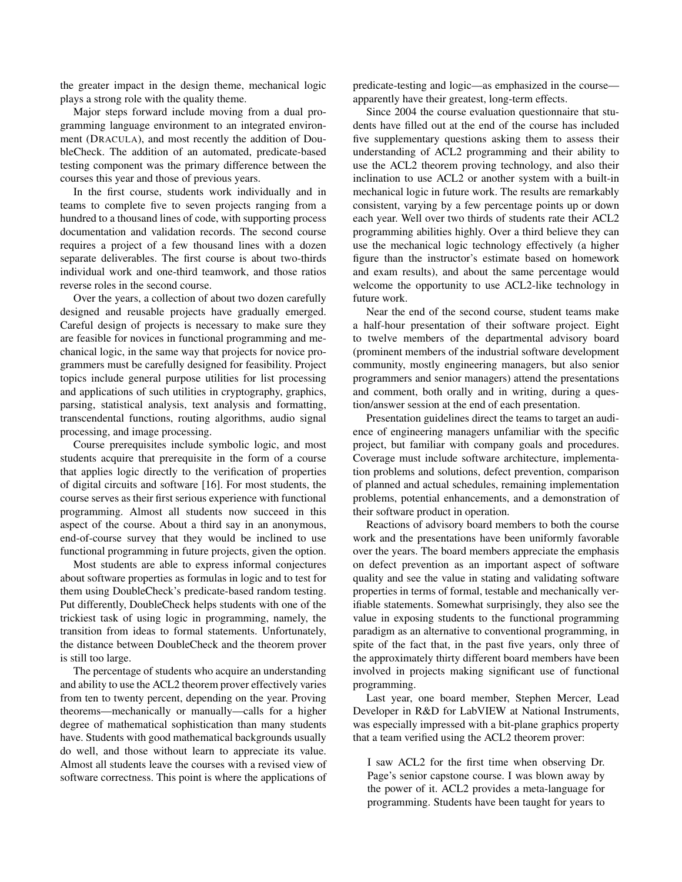the greater impact in the design theme, mechanical logic plays a strong role with the quality theme.

Major steps forward include moving from a dual programming language environment to an integrated environment (DRACULA), and most recently the addition of DoubleCheck. The addition of an automated, predicate-based testing component was the primary difference between the courses this year and those of previous years.

In the first course, students work individually and in teams to complete five to seven projects ranging from a hundred to a thousand lines of code, with supporting process documentation and validation records. The second course requires a project of a few thousand lines with a dozen separate deliverables. The first course is about two-thirds individual work and one-third teamwork, and those ratios reverse roles in the second course.

Over the years, a collection of about two dozen carefully designed and reusable projects have gradually emerged. Careful design of projects is necessary to make sure they are feasible for novices in functional programming and mechanical logic, in the same way that projects for novice programmers must be carefully designed for feasibility. Project topics include general purpose utilities for list processing and applications of such utilities in cryptography, graphics, parsing, statistical analysis, text analysis and formatting, transcendental functions, routing algorithms, audio signal processing, and image processing.

Course prerequisites include symbolic logic, and most students acquire that prerequisite in the form of a course that applies logic directly to the verification of properties of digital circuits and software [16]. For most students, the course serves as their first serious experience with functional programming. Almost all students now succeed in this aspect of the course. About a third say in an anonymous, end-of-course survey that they would be inclined to use functional programming in future projects, given the option.

Most students are able to express informal conjectures about software properties as formulas in logic and to test for them using DoubleCheck's predicate-based random testing. Put differently, DoubleCheck helps students with one of the trickiest task of using logic in programming, namely, the transition from ideas to formal statements. Unfortunately, the distance between DoubleCheck and the theorem prover is still too large.

The percentage of students who acquire an understanding and ability to use the ACL2 theorem prover effectively varies from ten to twenty percent, depending on the year. Proving theorems—mechanically or manually—calls for a higher degree of mathematical sophistication than many students have. Students with good mathematical backgrounds usually do well, and those without learn to appreciate its value. Almost all students leave the courses with a revised view of software correctness. This point is where the applications of predicate-testing and logic—as emphasized in the course apparently have their greatest, long-term effects.

Since 2004 the course evaluation questionnaire that students have filled out at the end of the course has included five supplementary questions asking them to assess their understanding of ACL2 programming and their ability to use the ACL2 theorem proving technology, and also their inclination to use ACL2 or another system with a built-in mechanical logic in future work. The results are remarkably consistent, varying by a few percentage points up or down each year. Well over two thirds of students rate their ACL2 programming abilities highly. Over a third believe they can use the mechanical logic technology effectively (a higher figure than the instructor's estimate based on homework and exam results), and about the same percentage would welcome the opportunity to use ACL2-like technology in future work.

Near the end of the second course, student teams make a half-hour presentation of their software project. Eight to twelve members of the departmental advisory board (prominent members of the industrial software development community, mostly engineering managers, but also senior programmers and senior managers) attend the presentations and comment, both orally and in writing, during a question/answer session at the end of each presentation.

Presentation guidelines direct the teams to target an audience of engineering managers unfamiliar with the specific project, but familiar with company goals and procedures. Coverage must include software architecture, implementation problems and solutions, defect prevention, comparison of planned and actual schedules, remaining implementation problems, potential enhancements, and a demonstration of their software product in operation.

Reactions of advisory board members to both the course work and the presentations have been uniformly favorable over the years. The board members appreciate the emphasis on defect prevention as an important aspect of software quality and see the value in stating and validating software properties in terms of formal, testable and mechanically verifiable statements. Somewhat surprisingly, they also see the value in exposing students to the functional programming paradigm as an alternative to conventional programming, in spite of the fact that, in the past five years, only three of the approximately thirty different board members have been involved in projects making significant use of functional programming.

Last year, one board member, Stephen Mercer, Lead Developer in R&D for LabVIEW at National Instruments, was especially impressed with a bit-plane graphics property that a team verified using the ACL2 theorem prover:

I saw ACL2 for the first time when observing Dr. Page's senior capstone course. I was blown away by the power of it. ACL2 provides a meta-language for programming. Students have been taught for years to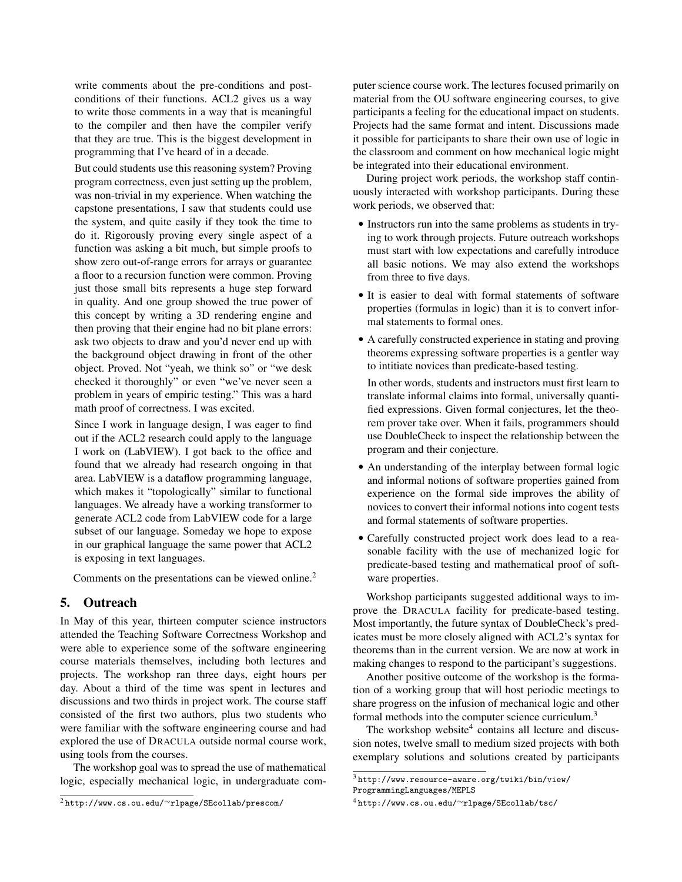write comments about the pre-conditions and postconditions of their functions. ACL2 gives us a way to write those comments in a way that is meaningful to the compiler and then have the compiler verify that they are true. This is the biggest development in programming that I've heard of in a decade.

But could students use this reasoning system? Proving program correctness, even just setting up the problem, was non-trivial in my experience. When watching the capstone presentations, I saw that students could use the system, and quite easily if they took the time to do it. Rigorously proving every single aspect of a function was asking a bit much, but simple proofs to show zero out-of-range errors for arrays or guarantee a floor to a recursion function were common. Proving just those small bits represents a huge step forward in quality. And one group showed the true power of this concept by writing a 3D rendering engine and then proving that their engine had no bit plane errors: ask two objects to draw and you'd never end up with the background object drawing in front of the other object. Proved. Not "yeah, we think so" or "we desk checked it thoroughly" or even "we've never seen a problem in years of empiric testing." This was a hard math proof of correctness. I was excited.

Since I work in language design, I was eager to find out if the ACL2 research could apply to the language I work on (LabVIEW). I got back to the office and found that we already had research ongoing in that area. LabVIEW is a dataflow programming language, which makes it "topologically" similar to functional languages. We already have a working transformer to generate ACL2 code from LabVIEW code for a large subset of our language. Someday we hope to expose in our graphical language the same power that ACL2 is exposing in text languages.

Comments on the presentations can be viewed online.<sup>2</sup>

## 5. Outreach

In May of this year, thirteen computer science instructors attended the Teaching Software Correctness Workshop and were able to experience some of the software engineering course materials themselves, including both lectures and projects. The workshop ran three days, eight hours per day. About a third of the time was spent in lectures and discussions and two thirds in project work. The course staff consisted of the first two authors, plus two students who were familiar with the software engineering course and had explored the use of DRACULA outside normal course work, using tools from the courses.

The workshop goal was to spread the use of mathematical logic, especially mechanical logic, in undergraduate computer science course work. The lectures focused primarily on material from the OU software engineering courses, to give participants a feeling for the educational impact on students. Projects had the same format and intent. Discussions made it possible for participants to share their own use of logic in the classroom and comment on how mechanical logic might be integrated into their educational environment.

During project work periods, the workshop staff continuously interacted with workshop participants. During these work periods, we observed that:

- Instructors run into the same problems as students in trying to work through projects. Future outreach workshops must start with low expectations and carefully introduce all basic notions. We may also extend the workshops from three to five days.
- It is easier to deal with formal statements of software properties (formulas in logic) than it is to convert informal statements to formal ones.
- A carefully constructed experience in stating and proving theorems expressing software properties is a gentler way to intitiate novices than predicate-based testing.

In other words, students and instructors must first learn to translate informal claims into formal, universally quantified expressions. Given formal conjectures, let the theorem prover take over. When it fails, programmers should use DoubleCheck to inspect the relationship between the program and their conjecture.

- An understanding of the interplay between formal logic and informal notions of software properties gained from experience on the formal side improves the ability of novices to convert their informal notions into cogent tests and formal statements of software properties.
- Carefully constructed project work does lead to a reasonable facility with the use of mechanized logic for predicate-based testing and mathematical proof of software properties.

Workshop participants suggested additional ways to improve the DRACULA facility for predicate-based testing. Most importantly, the future syntax of DoubleCheck's predicates must be more closely aligned with ACL2's syntax for theorems than in the current version. We are now at work in making changes to respond to the participant's suggestions.

Another positive outcome of the workshop is the formation of a working group that will host periodic meetings to share progress on the infusion of mechanical logic and other formal methods into the computer science curriculum.<sup>3</sup>

The workshop website $4$  contains all lecture and discussion notes, twelve small to medium sized projects with both exemplary solutions and solutions created by participants

<sup>2</sup> http://www.cs.ou.edu/∼rlpage/SEcollab/prescom/

 $^3$ http://www.resource-aware.org/twiki/bin/view/ ProgrammingLanguages/MEPLS

<sup>4</sup> http://www.cs.ou.edu/∼rlpage/SEcollab/tsc/